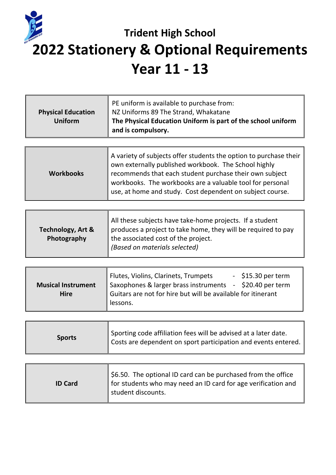## **Trident High School 2022 Stationery & Optional Requirements Year 11 - 13**

| <b>Physical Education</b><br><b>Uniform</b> | PE uniform is available to purchase from:<br>NZ Uniforms 89 The Strand, Whakatane<br>The Physical Education Uniform is part of the school uniform<br>and is compulsory.                                                                                                                                        |  |
|---------------------------------------------|----------------------------------------------------------------------------------------------------------------------------------------------------------------------------------------------------------------------------------------------------------------------------------------------------------------|--|
|                                             |                                                                                                                                                                                                                                                                                                                |  |
| <b>Workbooks</b>                            | A variety of subjects offer students the option to purchase their<br>own externally published workbook. The School highly<br>recommends that each student purchase their own subject<br>workbooks. The workbooks are a valuable tool for personal<br>use, at home and study. Cost dependent on subject course. |  |

|                              | All these subjects have take-home projects. If a student      |  |  |  |
|------------------------------|---------------------------------------------------------------|--|--|--|
| <b>Technology, Art &amp;</b> | produces a project to take home, they will be required to pay |  |  |  |
| Photography                  | the associated cost of the project.                           |  |  |  |
|                              | (Based on materials selected)                                 |  |  |  |
|                              |                                                               |  |  |  |

| Flutes, Violins, Clarinets, Trumpets<br>$-$ \$15.30 per term |  |  |  |
|--------------------------------------------------------------|--|--|--|
| Saxophones & larger brass instruments - \$20.40 per term     |  |  |  |
| Guitars are not for hire but will be available for itinerant |  |  |  |
| lessons.                                                     |  |  |  |
|                                                              |  |  |  |

| <b>Sports</b> | Sporting code affiliation fees will be advised at a later date.<br>$\blacktriangle$ Costs are dependent on sport participation and events entered. $\blackparallel$ |
|---------------|---------------------------------------------------------------------------------------------------------------------------------------------------------------------|
|---------------|---------------------------------------------------------------------------------------------------------------------------------------------------------------------|

| <b>ID Card</b> | \$6.50. The optional ID card can be purchased from the office<br>for students who may need an ID card for age verification and<br>student discounts. |
|----------------|------------------------------------------------------------------------------------------------------------------------------------------------------|
|----------------|------------------------------------------------------------------------------------------------------------------------------------------------------|